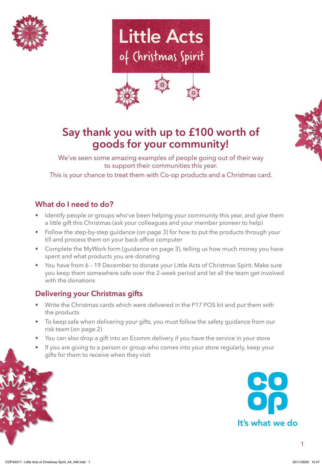







We've seen some amazing examples of people going out of their way to support their communities this year.

This is your chance to treat them with Co-op products and a Christmas card. Partist Communities and<br>Pat them with Co-op product

# **What do I need to do? <sup>L</sup><sup>I</sup>TTL<sup>E</sup> <sup>A</sup>CT<sup>S</sup>**

- Identify people or groups who've been helping your community this year, and give them a little gift this Christmas (ask your colleagues and your member pioneer to help)
- a nule grit this Christmas (ask your colleagues and your member pioneer to help)<br>• Follow the step-by-step guidance (on page 3) for how to put the products through your till and process them on your back office computer of Christmas Spirit
	- Complete the MyWork form (guidance on page 3), telling us how much money you have spent and what products you are donating
	- You have from 6 19 December to donate your Little Acts of Christmas Spirit. Make sure you keep them somewhere safe over the 2-week period and let all the team get involved with the donations

## **Delivering your Christmas gifts**

<sup>L</sup><sup>I</sup>TTL<sup>E</sup> <sup>A</sup>CT<sup>S</sup>

- Write the Christmas cards which were delivered in the P17 POS kit and put them with the products
- To keep safe when delivering your gifts, you must follow the safety guidance from our risk team (on page 2) • To keep safe when delivering your gifts, you must follow the safety guidance from o<br>risk team (on page 2)<br>• You can also drop a gift into an Ecomm delivery if you have the service in your store
- 
- If you are giving to a person or group who comes into your store regularly, keep your gifts for them to receive when they visit



1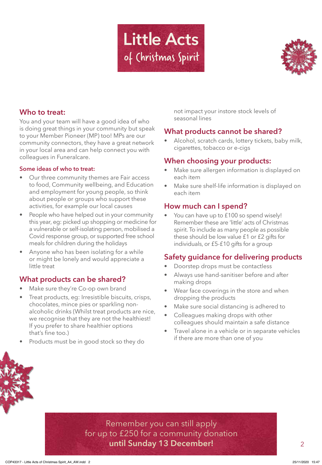



## **Who to treat:**

You and your team will have a good idea of who is doing great things in your community but speak to your Member Pioneer (MP) too! MPs are our community connectors, they have a great network in your local area and can help connect you with colleagues in Funeralcare.

#### **Some ideas of who to treat:**

- **Some ideas**<br> **•** Our three<br>
to food, ( activities, for example our local causes<br>A Beenle who baye beloed out in your cor • Our three community themes are Fair access to food, Community wellbeing, and Education and employment for young people, so think about people or groups who support these
	- People who have helped out in your community this year, eg: picked up shopping or medicine for a vulnerable or self-isolating person, mobilised a Covid response group, or supported free school meals for children during the holidays
	- Anyone who has been isolating for a while or might be lonely and would appreciate a little treat

## **What products can be shared?**

- Make sure they're Co-op own brand
- oducts, eg: Irresistible biscu<br>tes, mince pies or sparkling<br>ic drinks (Whilst treat produ • Treat products, eg: Irresistible biscuits, crisps, chocolates, mince pies or sparkling nonalcoholic drinks (Whilst treat products are nice, we recognise that they are not the healthiest! If you prefer to share healthier options that's fine too.)
- Products must be in good stock so they do

not impact your instore stock levels of seasonal lines

## **What products cannot be shared?**

Alcohol, scratch cards, lottery tickets, baby milk, cigarettes, tobacco or e-cigs

- **When choosing your products:**<br>
 Make sure allergen information is dis<br>
Filippediate achitem • Make sure allergen information is displayed on each item
	- Make sure shelf-life information is displayed on each item

## **How much can I spend?**<br> **Community** A. You see how you to 6100.00.

You can have up to £100 so spend wisely! Remember these are 'little' acts of Christmas spirit. To include as many people as possible these should be low value £1 or £2 gifts for individuals, or £5-£10 gifts for a group

## **Safety guidance for delivering products**

- Doorstep drops must be contactless
- Always use hand-sanitiser before and after making drops
- Wear face coverings in the store and when dropping the products
- Make sure social distancing is adhered to
- Colleagues making drops with other colleagues should maintain a safe distance
- Travel alone in a vehicle or in separate vehicles if there are more than one of you

**<sup>o</sup><sup>f</sup> <sup>C</sup>hristma<sup>s</sup> <sup>S</sup>p<sup>i</sup>ri<sup>t</sup>** Remember you can still apply for up to £250 for a community donation **until Sunday 13 December!** 2